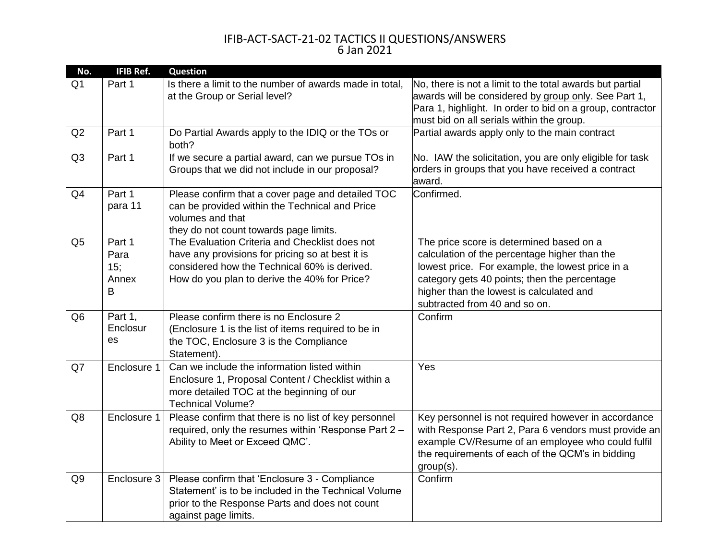| No.            | <b>IFIB Ref.</b>                    | <b>Question</b>                                                                                                                                                                                    |                                                                                                                                                                                                                                                                            |
|----------------|-------------------------------------|----------------------------------------------------------------------------------------------------------------------------------------------------------------------------------------------------|----------------------------------------------------------------------------------------------------------------------------------------------------------------------------------------------------------------------------------------------------------------------------|
| Q <sub>1</sub> | Part 1                              | Is there a limit to the number of awards made in total,<br>at the Group or Serial level?                                                                                                           | No, there is not a limit to the total awards but partial<br>awards will be considered by group only. See Part 1,<br>Para 1, highlight. In order to bid on a group, contractor<br>must bid on all serials within the group.                                                 |
| Q2             | Part 1                              | Do Partial Awards apply to the IDIQ or the TOs or<br>both?                                                                                                                                         | Partial awards apply only to the main contract                                                                                                                                                                                                                             |
| Q3             | Part 1                              | If we secure a partial award, can we pursue TOs in<br>Groups that we did not include in our proposal?                                                                                              | No. IAW the solicitation, you are only eligible for task<br>orders in groups that you have received a contract<br>award.                                                                                                                                                   |
| Q <sub>4</sub> | Part 1<br>para 11                   | Please confirm that a cover page and detailed TOC<br>can be provided within the Technical and Price<br>volumes and that<br>they do not count towards page limits.                                  | Confirmed.                                                                                                                                                                                                                                                                 |
| Q <sub>5</sub> | Part 1<br>Para<br>15;<br>Annex<br>B | The Evaluation Criteria and Checklist does not<br>have any provisions for pricing so at best it is<br>considered how the Technical 60% is derived.<br>How do you plan to derive the 40% for Price? | The price score is determined based on a<br>calculation of the percentage higher than the<br>lowest price. For example, the lowest price in a<br>category gets 40 points; then the percentage<br>higher than the lowest is calculated and<br>subtracted from 40 and so on. |
| Q <sub>6</sub> | Part 1,<br>Enclosur<br>es           | Please confirm there is no Enclosure 2<br>(Enclosure 1 is the list of items required to be in<br>the TOC, Enclosure 3 is the Compliance<br>Statement).                                             | Confirm                                                                                                                                                                                                                                                                    |
| Q7             | Enclosure 1                         | Can we include the information listed within<br>Enclosure 1, Proposal Content / Checklist within a<br>more detailed TOC at the beginning of our<br><b>Technical Volume?</b>                        | Yes                                                                                                                                                                                                                                                                        |
| Q8             | Enclosure 1                         | Please confirm that there is no list of key personnel<br>required, only the resumes within 'Response Part 2 -<br>Ability to Meet or Exceed QMC'.                                                   | Key personnel is not required however in accordance<br>with Response Part 2, Para 6 vendors must provide an<br>example CV/Resume of an employee who could fulfil<br>the requirements of each of the QCM's in bidding<br>group(s).                                          |
| Q <sub>9</sub> | Enclosure 3                         | Please confirm that 'Enclosure 3 - Compliance<br>Statement' is to be included in the Technical Volume<br>prior to the Response Parts and does not count<br>against page limits.                    | Confirm                                                                                                                                                                                                                                                                    |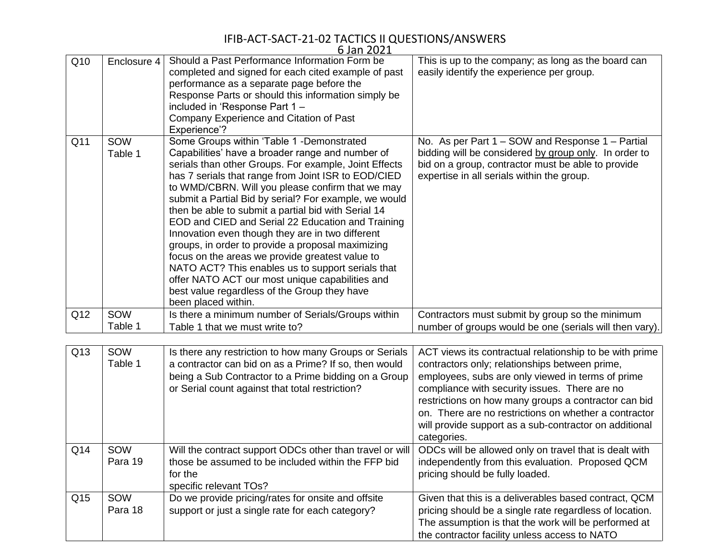|                 |                | 6 Jan 2021                                                                                                                                                                                                                                                                                                                                                                                                                                                                                                                                                                                                                                                                                                                                                                        |                                                                                                                                                                                                                                                                                                                                                                                                                                         |
|-----------------|----------------|-----------------------------------------------------------------------------------------------------------------------------------------------------------------------------------------------------------------------------------------------------------------------------------------------------------------------------------------------------------------------------------------------------------------------------------------------------------------------------------------------------------------------------------------------------------------------------------------------------------------------------------------------------------------------------------------------------------------------------------------------------------------------------------|-----------------------------------------------------------------------------------------------------------------------------------------------------------------------------------------------------------------------------------------------------------------------------------------------------------------------------------------------------------------------------------------------------------------------------------------|
| Q10             | Enclosure 4    | Should a Past Performance Information Form be<br>completed and signed for each cited example of past<br>performance as a separate page before the<br>Response Parts or should this information simply be<br>included in 'Response Part 1-<br>Company Experience and Citation of Past<br>Experience'?                                                                                                                                                                                                                                                                                                                                                                                                                                                                              | This is up to the company; as long as the board can<br>easily identify the experience per group.                                                                                                                                                                                                                                                                                                                                        |
| Q <sub>11</sub> | SOW<br>Table 1 | Some Groups within 'Table 1 -Demonstrated<br>Capabilities' have a broader range and number of<br>serials than other Groups. For example, Joint Effects<br>has 7 serials that range from Joint ISR to EOD/CIED<br>to WMD/CBRN. Will you please confirm that we may<br>submit a Partial Bid by serial? For example, we would<br>then be able to submit a partial bid with Serial 14<br>EOD and CIED and Serial 22 Education and Training<br>Innovation even though they are in two different<br>groups, in order to provide a proposal maximizing<br>focus on the areas we provide greatest value to<br>NATO ACT? This enables us to support serials that<br>offer NATO ACT our most unique capabilities and<br>best value regardless of the Group they have<br>been placed within. | No. As per Part 1 – SOW and Response 1 – Partial<br>bidding will be considered by group only. In order to<br>bid on a group, contractor must be able to provide<br>expertise in all serials within the group.                                                                                                                                                                                                                           |
| Q12             | SOW<br>Table 1 | Is there a minimum number of Serials/Groups within<br>Table 1 that we must write to?                                                                                                                                                                                                                                                                                                                                                                                                                                                                                                                                                                                                                                                                                              | Contractors must submit by group so the minimum<br>number of groups would be one (serials will then vary).                                                                                                                                                                                                                                                                                                                              |
|                 |                |                                                                                                                                                                                                                                                                                                                                                                                                                                                                                                                                                                                                                                                                                                                                                                                   |                                                                                                                                                                                                                                                                                                                                                                                                                                         |
| Q13             | SOW<br>Table 1 | Is there any restriction to how many Groups or Serials<br>a contractor can bid on as a Prime? If so, then would<br>being a Sub Contractor to a Prime bidding on a Group<br>or Serial count against that total restriction?                                                                                                                                                                                                                                                                                                                                                                                                                                                                                                                                                        | ACT views its contractual relationship to be with prime<br>contractors only; relationships between prime,<br>employees, subs are only viewed in terms of prime<br>compliance with security issues. There are no<br>restrictions on how many groups a contractor can bid<br>on. There are no restrictions on whether a contractor<br>will provide support as a sub-contractor on additional<br>$\sim$ $\sim$ $\sim$ $\sim$ $\sim$ $\sim$ |

|     |                |                                                                                                                                                     | categories.                                                                                                                                                                                                               |
|-----|----------------|-----------------------------------------------------------------------------------------------------------------------------------------------------|---------------------------------------------------------------------------------------------------------------------------------------------------------------------------------------------------------------------------|
| Q14 | SOW<br>Para 19 | Will the contract support ODCs other than travel or will<br>those be assumed to be included within the FFP bid<br>for the<br>specific relevant TOs? | ODCs will be allowed only on travel that is dealt with<br>independently from this evaluation. Proposed QCM<br>pricing should be fully loaded.                                                                             |
| Q15 | SOW<br>Para 18 | Do we provide pricing/rates for onsite and offsite<br>support or just a single rate for each category?                                              | Given that this is a deliverables based contract, QCM<br>pricing should be a single rate regardless of location.<br>The assumption is that the work will be performed at<br>the contractor facility unless access to NATO |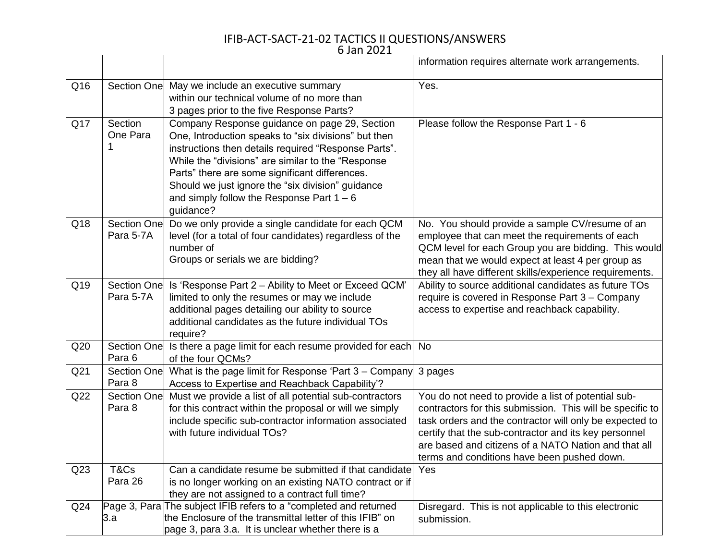6 Jan 2021

|                 |                                 |                                                                                                                                                                                                                                                                                                                                                                                        | information requires alternate work arrangements.                                                                                                                                                                                                                                                                                           |
|-----------------|---------------------------------|----------------------------------------------------------------------------------------------------------------------------------------------------------------------------------------------------------------------------------------------------------------------------------------------------------------------------------------------------------------------------------------|---------------------------------------------------------------------------------------------------------------------------------------------------------------------------------------------------------------------------------------------------------------------------------------------------------------------------------------------|
| Q16             | Section One                     | May we include an executive summary<br>within our technical volume of no more than<br>3 pages prior to the five Response Parts?                                                                                                                                                                                                                                                        | Yes.                                                                                                                                                                                                                                                                                                                                        |
| Q17             | Section<br>One Para             | Company Response guidance on page 29, Section<br>One, Introduction speaks to "six divisions" but then<br>instructions then details required "Response Parts".<br>While the "divisions" are similar to the "Response<br>Parts" there are some significant differences.<br>Should we just ignore the "six division" guidance<br>and simply follow the Response Part $1 - 6$<br>guidance? | Please follow the Response Part 1 - 6                                                                                                                                                                                                                                                                                                       |
| Q18             | <b>Section One</b><br>Para 5-7A | Do we only provide a single candidate for each QCM<br>level (for a total of four candidates) regardless of the<br>number of<br>Groups or serials we are bidding?                                                                                                                                                                                                                       | No. You should provide a sample CV/resume of an<br>employee that can meet the requirements of each<br>QCM level for each Group you are bidding. This would<br>mean that we would expect at least 4 per group as<br>they all have different skills/experience requirements.                                                                  |
| Q19             | Section One<br>Para 5-7A        | Is 'Response Part 2 - Ability to Meet or Exceed QCM'<br>limited to only the resumes or may we include<br>additional pages detailing our ability to source<br>additional candidates as the future individual TOs<br>require?                                                                                                                                                            | Ability to source additional candidates as future TOs<br>require is covered in Response Part 3 - Company<br>access to expertise and reachback capability.                                                                                                                                                                                   |
| Q20             | Section One<br>Para 6           | Is there a page limit for each resume provided for each No<br>of the four QCMs?                                                                                                                                                                                                                                                                                                        |                                                                                                                                                                                                                                                                                                                                             |
| Q <sub>21</sub> | <b>Section One</b><br>Para 8    | What is the page limit for Response 'Part 3 - Company<br>Access to Expertise and Reachback Capability'?                                                                                                                                                                                                                                                                                | 3 pages                                                                                                                                                                                                                                                                                                                                     |
| Q22             | <b>Section One</b><br>Para 8    | Must we provide a list of all potential sub-contractors<br>for this contract within the proposal or will we simply<br>include specific sub-contractor information associated<br>with future individual TOs?                                                                                                                                                                            | You do not need to provide a list of potential sub-<br>contractors for this submission. This will be specific to<br>task orders and the contractor will only be expected to<br>certify that the sub-contractor and its key personnel<br>are based and citizens of a NATO Nation and that all<br>terms and conditions have been pushed down. |
| Q <sub>23</sub> | T&Cs<br>Para 26                 | Can a candidate resume be submitted if that candidate Yes<br>is no longer working on an existing NATO contract or if                                                                                                                                                                                                                                                                   |                                                                                                                                                                                                                                                                                                                                             |
| Q24             | 3.a                             | they are not assigned to a contract full time?<br>Page 3, Para The subject IFIB refers to a "completed and returned<br>the Enclosure of the transmittal letter of this IFIB" on<br>page 3, para 3.a. It is unclear whether there is a                                                                                                                                                  | Disregard. This is not applicable to this electronic<br>submission.                                                                                                                                                                                                                                                                         |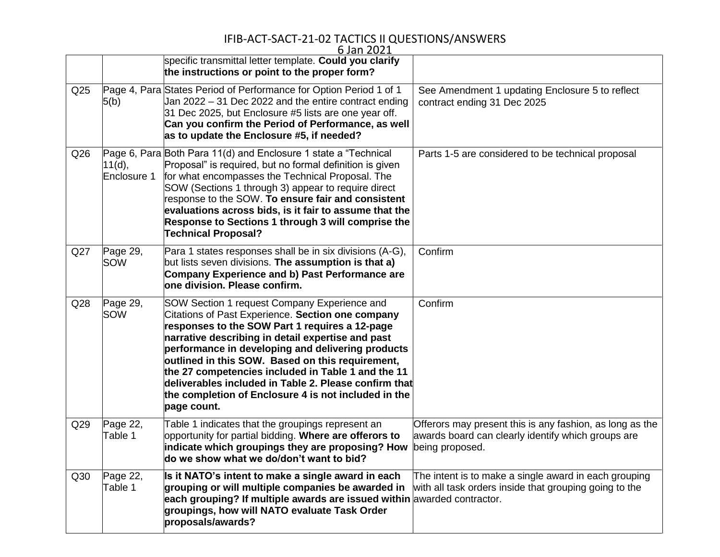|                 |                        | 6 Jan 2021<br>specific transmittal letter template. Could you clarify<br>the instructions or point to the proper form?                                                                                                                                                                                                                                                                                                                                                                                  |                                                                                                                                   |
|-----------------|------------------------|---------------------------------------------------------------------------------------------------------------------------------------------------------------------------------------------------------------------------------------------------------------------------------------------------------------------------------------------------------------------------------------------------------------------------------------------------------------------------------------------------------|-----------------------------------------------------------------------------------------------------------------------------------|
| Q <sub>25</sub> | 5(b)                   | Page 4, Para States Period of Performance for Option Period 1 of 1<br>Jan 2022 – 31 Dec 2022 and the entire contract ending<br>31 Dec 2025, but Enclosure #5 lists are one year off.<br>Can you confirm the Period of Performance, as well<br>as to update the Enclosure #5, if needed?                                                                                                                                                                                                                 | See Amendment 1 updating Enclosure 5 to reflect<br>contract ending 31 Dec 2025                                                    |
| Q26             | 11(d),<br>Enclosure 1  | Page 6, Para Both Para 11(d) and Enclosure 1 state a "Technical<br>Proposal" is required, but no formal definition is given<br>for what encompasses the Technical Proposal. The<br>SOW (Sections 1 through 3) appear to require direct<br>response to the SOW. To ensure fair and consistent<br>evaluations across bids, is it fair to assume that the<br>Response to Sections 1 through 3 will comprise the<br><b>Technical Proposal?</b>                                                              | Parts 1-5 are considered to be technical proposal                                                                                 |
| Q27             | Page 29,<br>SOW        | Para 1 states responses shall be in six divisions (A-G),<br>but lists seven divisions. The assumption is that a)<br><b>Company Experience and b) Past Performance are</b><br>one division. Please confirm.                                                                                                                                                                                                                                                                                              | Confirm                                                                                                                           |
| Q <sub>28</sub> | Page 29,<br><b>SOW</b> | SOW Section 1 request Company Experience and<br>Citations of Past Experience. Section one company<br>responses to the SOW Part 1 requires a 12-page<br>narrative describing in detail expertise and past<br>performance in developing and delivering products<br>outlined in this SOW. Based on this requirement,<br>the 27 competencies included in Table 1 and the 11<br>deliverables included in Table 2. Please confirm that<br>the completion of Enclosure 4 is not included in the<br>page count. | Confirm                                                                                                                           |
| Q <sub>29</sub> | Page 22,<br>Table 1    | Table 1 indicates that the groupings represent an<br>opportunity for partial bidding. Where are offerors to<br>indicate which groupings they are proposing? How<br>do we show what we do/don't want to bid?                                                                                                                                                                                                                                                                                             | Offerors may present this is any fashion, as long as the<br>awards board can clearly identify which groups are<br>being proposed. |
| Q30             | Page 22,<br>Table 1    | Is it NATO's intent to make a single award in each<br>grouping or will multiple companies be awarded in<br>each grouping? If multiple awards are issued within awarded contractor.<br>groupings, how will NATO evaluate Task Order<br>proposals/awards?                                                                                                                                                                                                                                                 | The intent is to make a single award in each grouping<br>with all task orders inside that grouping going to the                   |